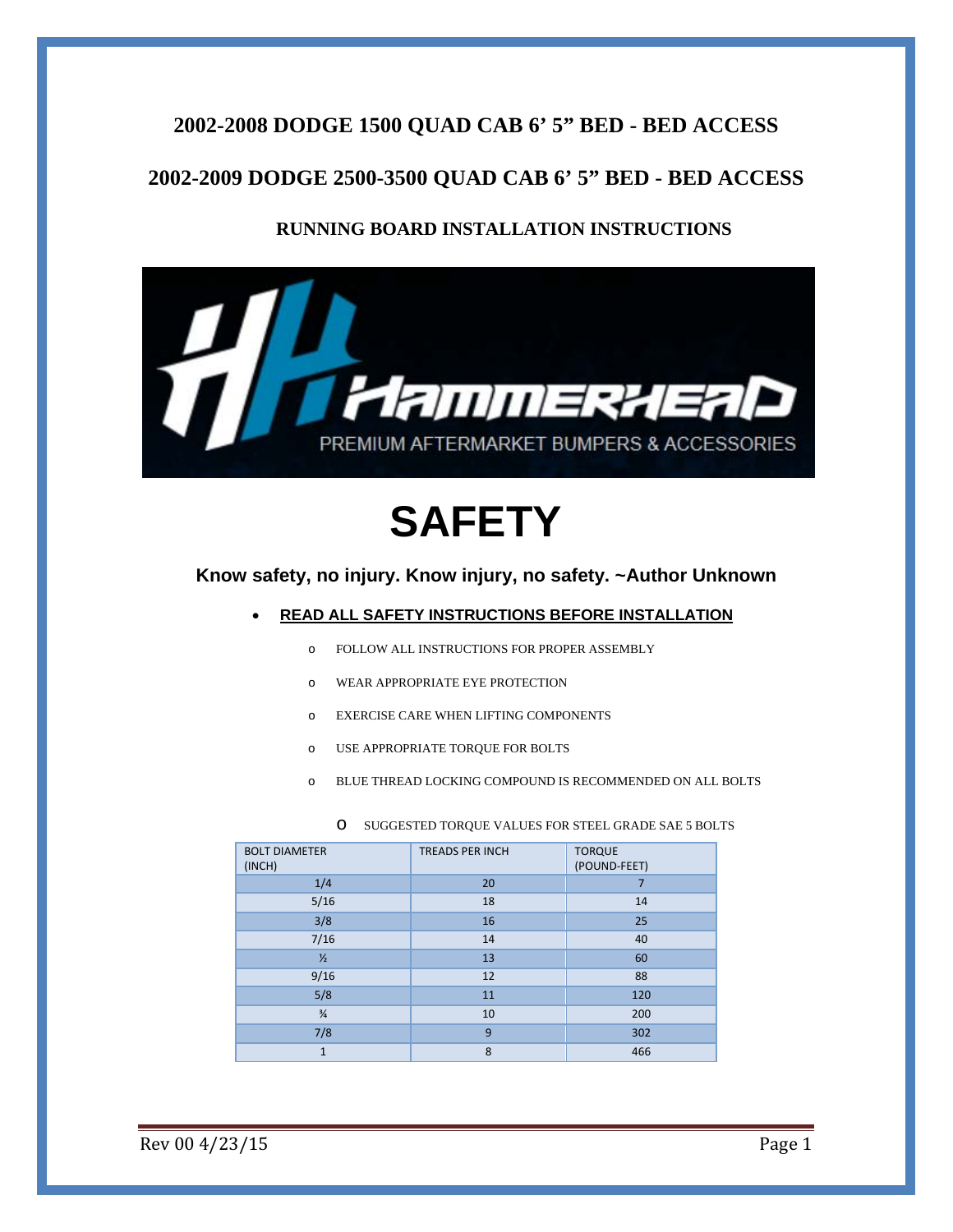### **2002-2008 DODGE 1500 QUAD CAB 6' 5" BED - BED ACCESS**

### **2002-2009 DODGE 2500-3500 QUAD CAB 6' 5" BED - BED ACCESS**

#### **RUNNING BOARD INSTALLATION INSTRUCTIONS**



# **SAFETY**

#### **Know safety, no injury. Know injury, no safety. ~Author Unknown**

#### **READ ALL SAFETY INSTRUCTIONS BEFORE INSTALLATION**

- o FOLLOW ALL INSTRUCTIONS FOR PROPER ASSEMBLY
- o WEAR APPROPRIATE EYE PROTECTION
- o EXERCISE CARE WHEN LIFTING COMPONENTS
- o USE APPROPRIATE TORQUE FOR BOLTS
- o BLUE THREAD LOCKING COMPOUND IS RECOMMENDED ON ALL BOLTS

| O SUGGESTED TORQUE VALUES FOR STEEL GRADE SAE 5 BOLTS |
|-------------------------------------------------------|
|-------------------------------------------------------|

| <b>BOLT DIAMETER</b><br>(INCH) | <b>TREADS PER INCH</b> | <b>TORQUE</b><br>(POUND-FEET) |
|--------------------------------|------------------------|-------------------------------|
| 1/4                            | 20                     | 7                             |
| 5/16                           | 18                     | 14                            |
| 3/8                            | 16                     | 25                            |
| 7/16                           | 14                     | 40                            |
| $\frac{1}{2}$                  | 13                     | 60                            |
| 9/16                           | 12                     | 88                            |
| 5/8                            | 11                     | 120                           |
| $\frac{3}{4}$                  | 10                     | 200                           |
| 7/8                            | 9                      | 302                           |
| $\mathbf{1}$                   | 8                      | 466                           |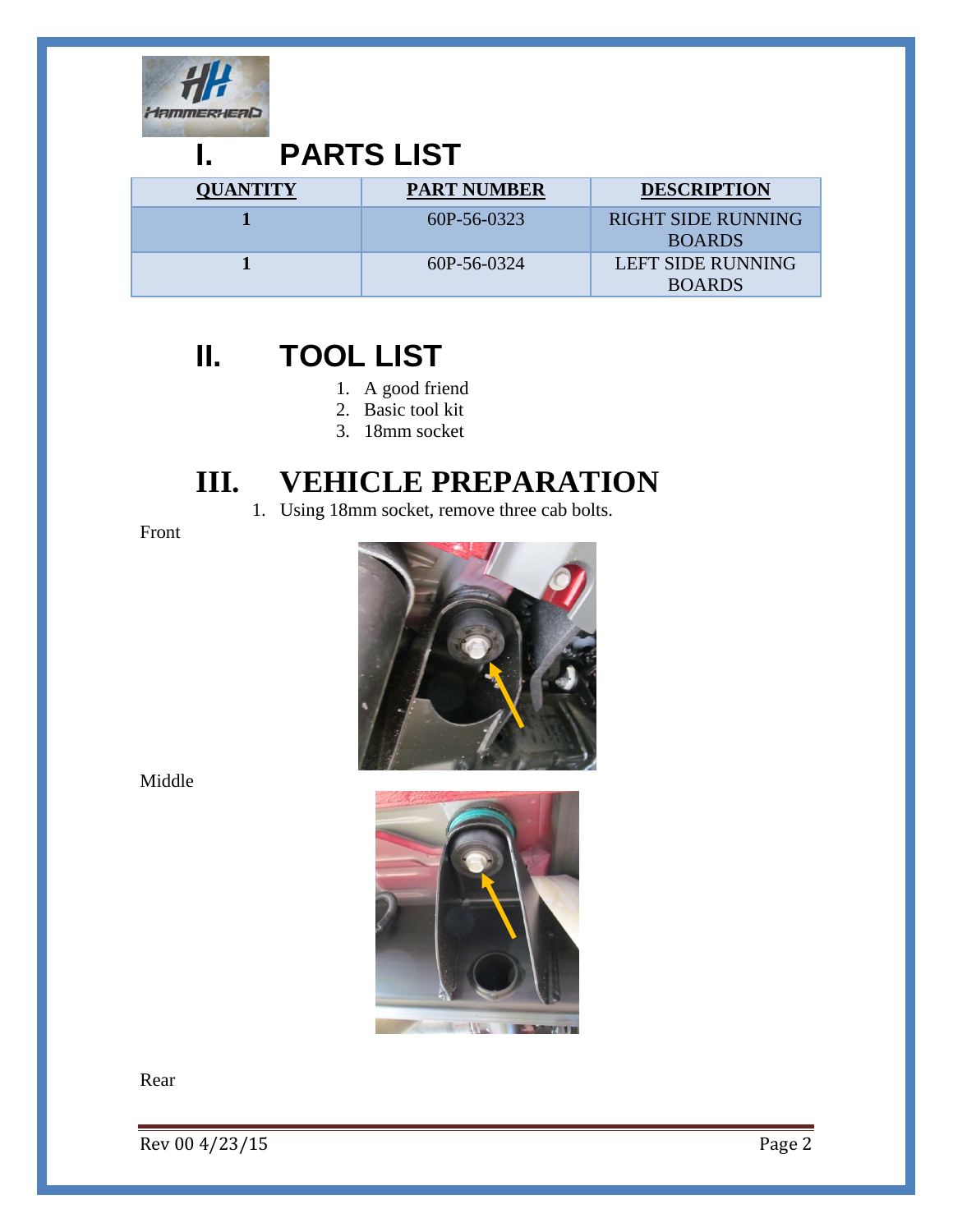

### **I. PARTS LIST**

| <b>QUANTITY</b> | <b>PART NUMBER</b> | <b>DESCRIPTION</b>                         |
|-----------------|--------------------|--------------------------------------------|
|                 | $60P-56-0323$      | <b>RIGHT SIDE RUNNING</b><br><b>BOARDS</b> |
|                 | 60P-56-0324        | LEFT SIDE RUNNING<br><b>BOARDS</b>         |

## **II. TOOL LIST**

- 1. A good friend
- 2. Basic tool kit
- 3. 18mm socket

### **III. VEHICLE PREPARATION**

1. Using 18mm socket, remove three cab bolts.

Front



Middle



Rear

 $\sqrt{P}$  Rev 00 4/23/15 Page 2